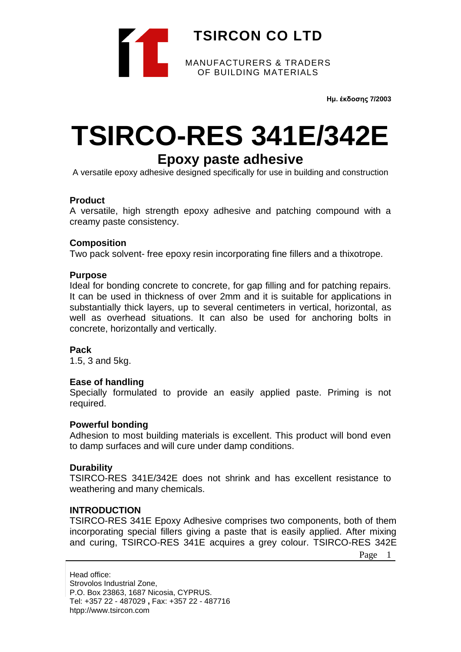

**Ημ. έκδοσης 7/2003**

# **TSIRCO-RES 341E/342E**

# **Epoxy paste adhesive**

A versatile epoxy adhesive designed specifically for use in building and construction

### **Product**

A versatile, high strength epoxy adhesive and patching compound with a creamy paste consistency.

### **Composition**

Two pack solvent- free epoxy resin incorporating fine fillers and a thixotrope.

#### **Purpose**

Ideal for bonding concrete to concrete, for gap filling and for patching repairs. It can be used in thickness of over 2mm and it is suitable for applications in substantially thick layers, up to several centimeters in vertical, horizontal, as well as overhead situations. It can also be used for anchoring bolts in concrete, horizontally and vertically.

### **Pack**

1.5, 3 and 5kg.

### **Ease of handling**

Specially formulated to provide an easily applied paste. Priming is not required.

### **Powerful bonding**

Adhesion to most building materials is excellent. This product will bond even to damp surfaces and will cure under damp conditions.

### **Durability**

TSIRCO-RES 341E/342E does not shrink and has excellent resistance to weathering and many chemicals.

### **INTRODUCTION**

TSIRCO-RES 341E Epoxy Adhesive comprises two components, both of them incorporating special fillers giving a paste that is easily applied. After mixing and curing, TSIRCO-RES 341E acquires a grey colour. TSIRCO-RES 342E

Page 1

Head office: Strovolos Industrial Zone, P.O. Box 23863, 1687 Nicosia, CYPRUS. Tel: +357 22 - 487029 **,** Fax: +357 22 - 487716 htpp://www.tsircon.com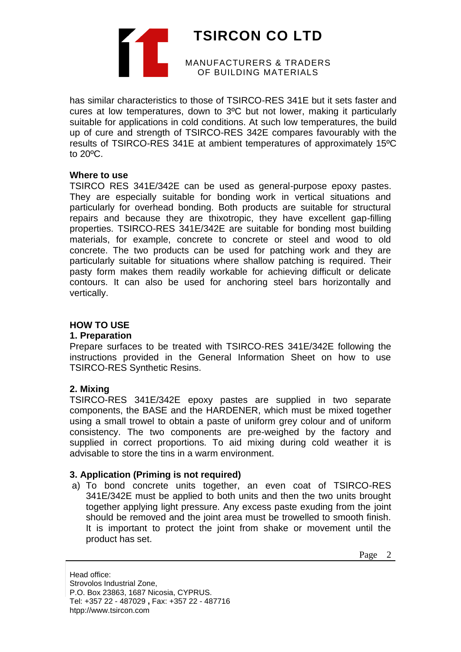

has similar characteristics to those of TSIRCO-RES 341E but it sets faster and cures at low temperatures, down to 3ºC but not lower, making it particularly suitable for applications in cold conditions. At such low temperatures, the build up of cure and strength of TSIRCO-RES 342E compares favourably with the results of TSIRCO-RES 341E at ambient temperatures of approximately 15ºC to 20ºC.

#### **Where to use**

TSIRCO RES 341E/342E can be used as general-purpose epoxy pastes. They are especially suitable for bonding work in vertical situations and particularly for overhead bonding. Both products are suitable for structural repairs and because they are thixotropic, they have excellent gap-filling properties. TSIRCO-RES 341E/342E are suitable for bonding most building materials, for example, concrete to concrete or steel and wood to old concrete. The two products can be used for patching work and they are particularly suitable for situations where shallow patching is required. Their pasty form makes them readily workable for achieving difficult or delicate contours. It can also be used for anchoring steel bars horizontally and vertically.

## **HOW TO USE**

### **1. Preparation**

Prepare surfaces to be treated with TSIRCO-RES 341E/342E following the instructions provided in the General Information Sheet on how to use TSIRCO-RES Synthetic Resins.

### **2. Mixing**

TSIRCO-RES 341E/342E epoxy pastes are supplied in two separate components, the BASE and the HARDENER, which must be mixed together using a small trowel to obtain a paste of uniform grey colour and of uniform consistency. The two components are pre-weighed by the factory and supplied in correct proportions. To aid mixing during cold weather it is advisable to store the tins in a warm environment.

# **3. Application (Priming is not required)**

a) To bond concrete units together, an even coat of TSIRCO-RES 341E/342E must be applied to both units and then the two units brought together applying light pressure. Any excess paste exuding from the joint should be removed and the joint area must be trowelled to smooth finish. It is important to protect the joint from shake or movement until the product has set.

Page 2

Head office: Strovolos Industrial Zone, P.O. Box 23863, 1687 Nicosia, CYPRUS. Tel: +357 22 - 487029 **,** Fax: +357 22 - 487716 htpp://www.tsircon.com